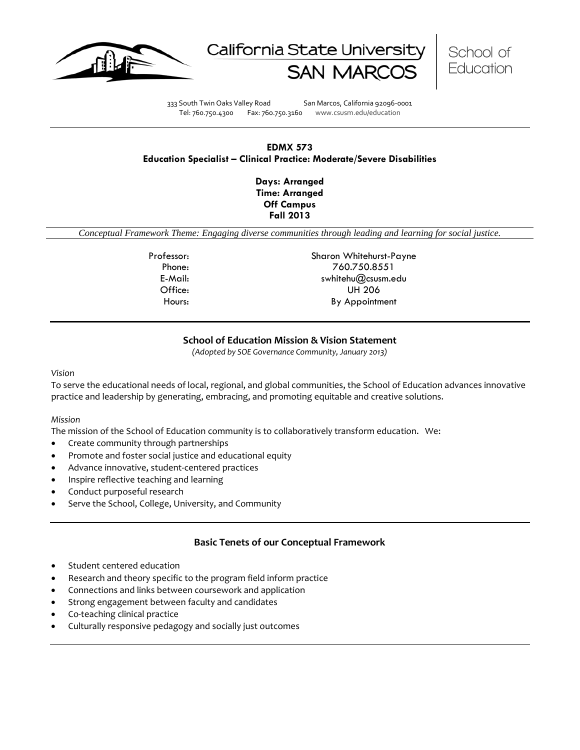





333 South Twin Oaks Valley Road San Marcos, California 92096-0001 Tel: 760.750.4300 Fax: 760.750.3160 www.csusm.edu/education

## **EDMX 573 Education Specialist – Clinical Practice: Moderate/Severe Disabilities**

**Days: Arranged Time: Arranged Off Campus Fall 2013** 

*Conceptual Framework Theme: Engaging diverse communities through leading and learning for social justice.*

Professor: Sharon Whitehurst-Payne Phone: 760.750.8551 E-Mail: swhitehu@csusm.edu Office: UH 206 Hours: By Appointment

## **School of Education Mission & Vision Statement**

*(Adopted by SOE Governance Community, January 2013)*

#### *Vision*

To serve the educational needs of local, regional, and global communities, the School of Education advances innovative practice and leadership by generating, embracing, and promoting equitable and creative solutions.

#### *Mission*

The mission of the School of Education community is to collaboratively transform education. We:

- Create community through partnerships
- Promote and foster social justice and educational equity
- Advance innovative, student-centered practices
- Inspire reflective teaching and learning
- Conduct purposeful research
- Serve the School, College, University, and Community

#### **Basic Tenets of our Conceptual Framework**

- Student centered education
- Research and theory specific to the program field inform practice
- Connections and links between coursework and application
- Strong engagement between faculty and candidates
- Co-teaching clinical practice
- Culturally responsive pedagogy and socially just outcomes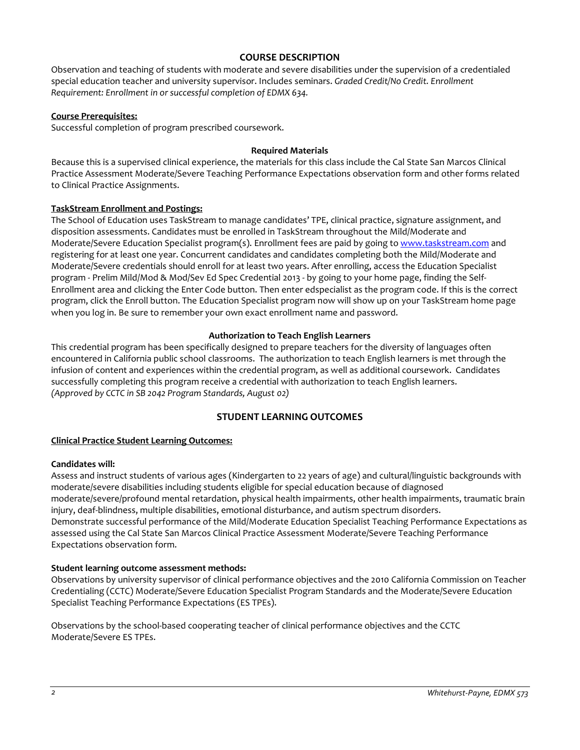## **COURSE DESCRIPTION**

Observation and teaching of students with moderate and severe disabilities under the supervision of a credentialed special education teacher and university supervisor. Includes seminars. *Graded Credit/No Credit. Enrollment Requirement: Enrollment in or successful completion of EDMX 634.*

#### **Course Prerequisites:**

Successful completion of program prescribed coursework.

#### **Required Materials**

Because this is a supervised clinical experience, the materials for this class include the Cal State San Marcos Clinical Practice Assessment Moderate/Severe Teaching Performance Expectations observation form and other forms related to Clinical Practice Assignments.

## **TaskStream Enrollment and Postings:**

The School of Education uses TaskStream to manage candidates' TPE, clinical practice, signature assignment, and disposition assessments. Candidates must be enrolled in TaskStream throughout the Mild/Moderate and Moderate/Severe Education Specialist program(s). Enrollment fees are paid by going to [www.taskstream.com](http://www.taskstrem.com/) and registering for at least one year. Concurrent candidates and candidates completing both the Mild/Moderate and Moderate/Severe credentials should enroll for at least two years. After enrolling, access the Education Specialist program - Prelim Mild/Mod & Mod/Sev Ed Spec Credential 2013 - by going to your home page, finding the Self-Enrollment area and clicking the Enter Code button. Then enter edspecialist as the program code. If this is the correct program, click the Enroll button. The Education Specialist program now will show up on your TaskStream home page when you log in. Be sure to remember your own exact enrollment name and password.

## **Authorization to Teach English Learners**

This credential program has been specifically designed to prepare teachers for the diversity of languages often encountered in California public school classrooms. The authorization to teach English learners is met through the infusion of content and experiences within the credential program, as well as additional coursework. Candidates successfully completing this program receive a credential with authorization to teach English learners. *(Approved by CCTC in SB 2042 Program Standards, August 02)*

# **STUDENT LEARNING OUTCOMES**

## **Clinical Practice Student Learning Outcomes:**

#### **Candidates will:**

Assess and instruct students of various ages (Kindergarten to 22 years of age) and cultural/linguistic backgrounds with moderate/severe disabilities including students eligible for special education because of diagnosed moderate/severe/profound mental retardation, physical health impairments, other health impairments, traumatic brain injury, deaf-blindness, multiple disabilities, emotional disturbance, and autism spectrum disorders. Demonstrate successful performance of the Mild/Moderate Education Specialist Teaching Performance Expectations as assessed using the Cal State San Marcos Clinical Practice Assessment Moderate/Severe Teaching Performance Expectations observation form.

## **Student learning outcome assessment methods:**

Observations by university supervisor of clinical performance objectives and the 2010 California Commission on Teacher Credentialing (CCTC) Moderate/Severe Education Specialist Program Standards and the Moderate/Severe Education Specialist Teaching Performance Expectations (ES TPEs).

Observations by the school-based cooperating teacher of clinical performance objectives and the CCTC Moderate/Severe ES TPEs.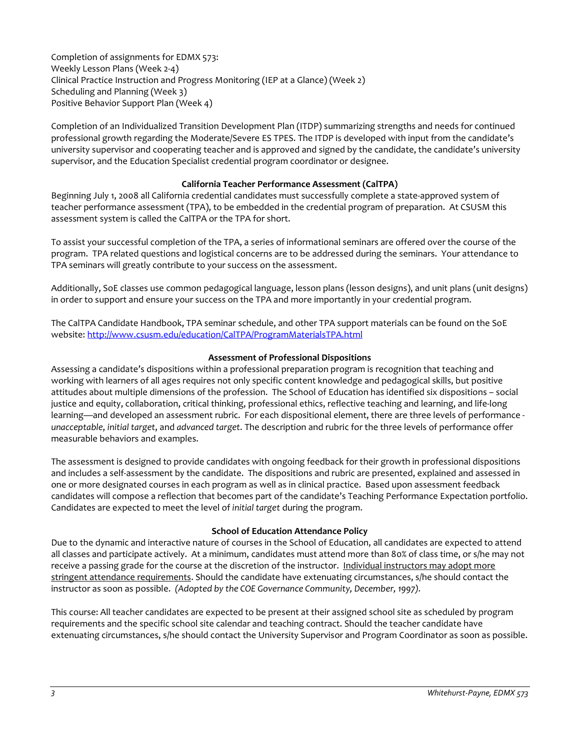Completion of assignments for EDMX 573: Weekly Lesson Plans (Week 2-4) Clinical Practice Instruction and Progress Monitoring (IEP at a Glance) (Week 2) Scheduling and Planning (Week 3) Positive Behavior Support Plan (Week 4)

Completion of an Individualized Transition Development Plan (ITDP) summarizing strengths and needs for continued professional growth regarding the Moderate/Severe ES TPES. The ITDP is developed with input from the candidate's university supervisor and cooperating teacher and is approved and signed by the candidate, the candidate's university supervisor, and the Education Specialist credential program coordinator or designee.

## **California Teacher Performance Assessment (CalTPA)**

Beginning July 1, 2008 all California credential candidates must successfully complete a state-approved system of teacher performance assessment (TPA), to be embedded in the credential program of preparation. At CSUSM this assessment system is called the CalTPA or the TPA for short.

To assist your successful completion of the TPA, a series of informational seminars are offered over the course of the program. TPA related questions and logistical concerns are to be addressed during the seminars. Your attendance to TPA seminars will greatly contribute to your success on the assessment.

Additionally, SoE classes use common pedagogical language, lesson plans (lesson designs), and unit plans (unit designs) in order to support and ensure your success on the TPA and more importantly in your credential program.

The CalTPA Candidate Handbook, TPA seminar schedule, and other TPA support materials can be found on the SoE website: <http://www.csusm.edu/education/CalTPA/ProgramMaterialsTPA.html>

## **Assessment of Professional Dispositions**

Assessing a candidate's dispositions within a professional preparation program is recognition that teaching and working with learners of all ages requires not only specific content knowledge and pedagogical skills, but positive attitudes about multiple dimensions of the profession. The School of Education has identified six dispositions – social justice and equity, collaboration, critical thinking, professional ethics, reflective teaching and learning, and life-long learning—and developed an assessment rubric. For each dispositional element, there are three levels of performance *unacceptable*, *initial target*, and *advanced target*. The description and rubric for the three levels of performance offer measurable behaviors and examples.

The assessment is designed to provide candidates with ongoing feedback for their growth in professional dispositions and includes a self-assessment by the candidate. The dispositions and rubric are presented, explained and assessed in one or more designated courses in each program as well as in clinical practice. Based upon assessment feedback candidates will compose a reflection that becomes part of the candidate's Teaching Performance Expectation portfolio. Candidates are expected to meet the level of *initial target* during the program.

## **School of Education Attendance Policy**

Due to the dynamic and interactive nature of courses in the School of Education, all candidates are expected to attend all classes and participate actively. At a minimum, candidates must attend more than 80% of class time, or s/he may not receive a passing grade for the course at the discretion of the instructor. Individual instructors may adopt more stringent attendance requirements. Should the candidate have extenuating circumstances, s/he should contact the instructor as soon as possible. *(Adopted by the COE Governance Community, December, 1997).*

This course: All teacher candidates are expected to be present at their assigned school site as scheduled by program requirements and the specific school site calendar and teaching contract. Should the teacher candidate have extenuating circumstances, s/he should contact the University Supervisor and Program Coordinator as soon as possible.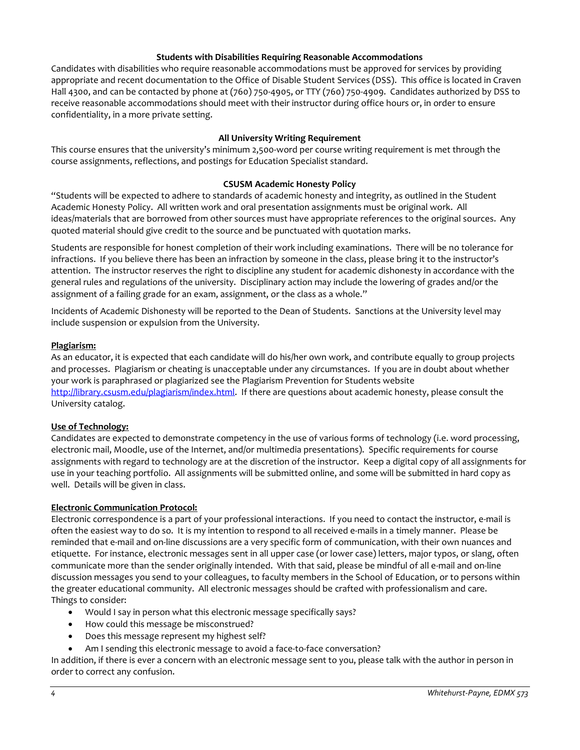## **Students with Disabilities Requiring Reasonable Accommodations**

Candidates with disabilities who require reasonable accommodations must be approved for services by providing appropriate and recent documentation to the Office of Disable Student Services (DSS). This office is located in Craven Hall 4300, and can be contacted by phone at (760) 750-4905, or TTY (760) 750-4909. Candidates authorized by DSS to receive reasonable accommodations should meet with their instructor during office hours or, in order to ensure confidentiality, in a more private setting.

## **All University Writing Requirement**

This course ensures that the university's minimum 2,500-word per course writing requirement is met through the course assignments, reflections, and postings for Education Specialist standard.

#### **CSUSM Academic Honesty Policy**

"Students will be expected to adhere to standards of academic honesty and integrity, as outlined in the Student Academic Honesty Policy. All written work and oral presentation assignments must be original work. All ideas/materials that are borrowed from other sources must have appropriate references to the original sources. Any quoted material should give credit to the source and be punctuated with quotation marks.

Students are responsible for honest completion of their work including examinations. There will be no tolerance for infractions. If you believe there has been an infraction by someone in the class, please bring it to the instructor's attention. The instructor reserves the right to discipline any student for academic dishonesty in accordance with the general rules and regulations of the university. Disciplinary action may include the lowering of grades and/or the assignment of a failing grade for an exam, assignment, or the class as a whole."

Incidents of Academic Dishonesty will be reported to the Dean of Students. Sanctions at the University level may include suspension or expulsion from the University.

## **Plagiarism:**

As an educator, it is expected that each candidate will do his/her own work, and contribute equally to group projects and processes. Plagiarism or cheating is unacceptable under any circumstances. If you are in doubt about whether your work is paraphrased or plagiarized see the Plagiarism Prevention for Students website [http://library.csusm.edu/plagiarism/index.html.](http://library.csusm.edu/plagiarism/index.html) If there are questions about academic honesty, please consult the University catalog.

#### **Use of Technology:**

Candidates are expected to demonstrate competency in the use of various forms of technology (i.e. word processing, electronic mail, Moodle, use of the Internet, and/or multimedia presentations). Specific requirements for course assignments with regard to technology are at the discretion of the instructor. Keep a digital copy of all assignments for use in your teaching portfolio. All assignments will be submitted online, and some will be submitted in hard copy as well. Details will be given in class.

#### **Electronic Communication Protocol:**

Electronic correspondence is a part of your professional interactions. If you need to contact the instructor, e-mail is often the easiest way to do so. It is my intention to respond to all received e-mails in a timely manner. Please be reminded that e-mail and on-line discussions are a very specific form of communication, with their own nuances and etiquette. For instance, electronic messages sent in all upper case (or lower case) letters, major typos, or slang, often communicate more than the sender originally intended. With that said, please be mindful of all e-mail and on-line discussion messages you send to your colleagues, to faculty members in the School of Education, or to persons within the greater educational community. All electronic messages should be crafted with professionalism and care. Things to consider:

- Would I say in person what this electronic message specifically says?
- How could this message be misconstrued?
- Does this message represent my highest self?
- Am I sending this electronic message to avoid a face-to-face conversation?

In addition, if there is ever a concern with an electronic message sent to you, please talk with the author in person in order to correct any confusion.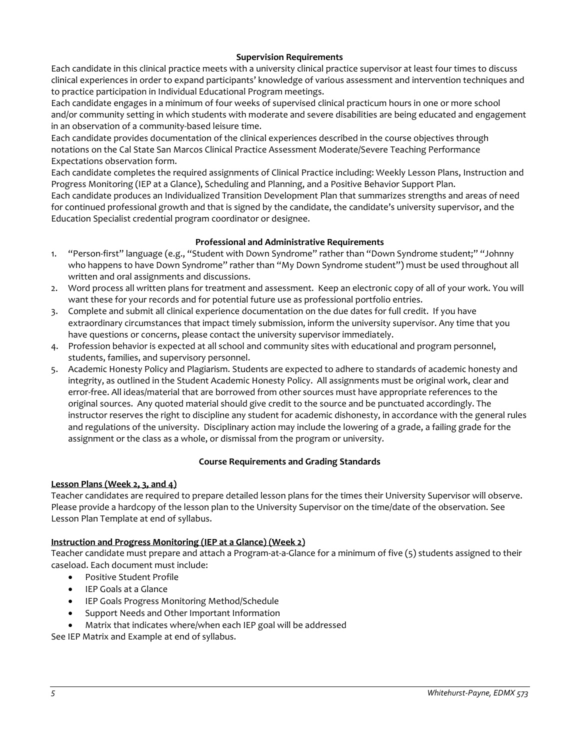## **Supervision Requirements**

Each candidate in this clinical practice meets with a university clinical practice supervisor at least four times to discuss clinical experiences in order to expand participants' knowledge of various assessment and intervention techniques and to practice participation in Individual Educational Program meetings.

Each candidate engages in a minimum of four weeks of supervised clinical practicum hours in one or more school and/or community setting in which students with moderate and severe disabilities are being educated and engagement in an observation of a community-based leisure time.

Each candidate provides documentation of the clinical experiences described in the course objectives through notations on the Cal State San Marcos Clinical Practice Assessment Moderate/Severe Teaching Performance Expectations observation form.

Each candidate completes the required assignments of Clinical Practice including: Weekly Lesson Plans, Instruction and Progress Monitoring (IEP at a Glance), Scheduling and Planning, and a Positive Behavior Support Plan.

Each candidate produces an Individualized Transition Development Plan that summarizes strengths and areas of need for continued professional growth and that is signed by the candidate, the candidate's university supervisor, and the Education Specialist credential program coordinator or designee.

## **Professional and Administrative Requirements**

- 1. "Person-first" language (e.g., "Student with Down Syndrome" rather than "Down Syndrome student;" "Johnny who happens to have Down Syndrome" rather than "My Down Syndrome student") must be used throughout all written and oral assignments and discussions.
- 2. Word process all written plans for treatment and assessment. Keep an electronic copy of all of your work. You will want these for your records and for potential future use as professional portfolio entries.
- 3. Complete and submit all clinical experience documentation on the due dates for full credit. If you have extraordinary circumstances that impact timely submission, inform the university supervisor. Any time that you have questions or concerns, please contact the university supervisor immediately.
- 4. Profession behavior is expected at all school and community sites with educational and program personnel, students, families, and supervisory personnel.
- 5. Academic Honesty Policy and Plagiarism. Students are expected to adhere to standards of academic honesty and integrity, as outlined in the Student Academic Honesty Policy. All assignments must be original work, clear and error-free. All ideas/material that are borrowed from other sources must have appropriate references to the original sources. Any quoted material should give credit to the source and be punctuated accordingly. The instructor reserves the right to discipline any student for academic dishonesty, in accordance with the general rules and regulations of the university. Disciplinary action may include the lowering of a grade, a failing grade for the assignment or the class as a whole, or dismissal from the program or university.

#### **Course Requirements and Grading Standards**

#### **Lesson Plans (Week 2, 3, and 4)**

Teacher candidates are required to prepare detailed lesson plans for the times their University Supervisor will observe. Please provide a hardcopy of the lesson plan to the University Supervisor on the time/date of the observation. See Lesson Plan Template at end of syllabus.

## **Instruction and Progress Monitoring (IEP at a Glance) (Week 2)**

Teacher candidate must prepare and attach a Program-at-a-Glance for a minimum of five (5) students assigned to their caseload. Each document must include:

- Positive Student Profile
- IEP Goals at a Glance
- IEP Goals Progress Monitoring Method/Schedule
- Support Needs and Other Important Information
- Matrix that indicates where/when each IEP goal will be addressed

See IEP Matrix and Example at end of syllabus.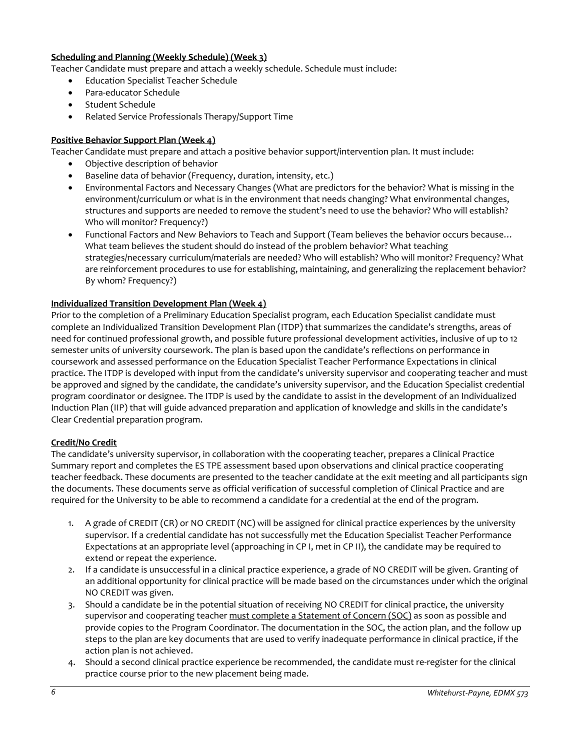## **Scheduling and Planning (Weekly Schedule) (Week 3)**

Teacher Candidate must prepare and attach a weekly schedule. Schedule must include:

- Education Specialist Teacher Schedule
- Para-educator Schedule
- Student Schedule
- Related Service Professionals Therapy/Support Time

## **Positive Behavior Support Plan (Week 4)**

Teacher Candidate must prepare and attach a positive behavior support/intervention plan. It must include:

- Objective description of behavior
- Baseline data of behavior (Frequency, duration, intensity, etc.)
- Environmental Factors and Necessary Changes (What are predictors for the behavior? What is missing in the environment/curriculum or what is in the environment that needs changing? What environmental changes, structures and supports are needed to remove the student's need to use the behavior? Who will establish? Who will monitor? Frequency?)
- Functional Factors and New Behaviors to Teach and Support (Team believes the behavior occurs because… What team believes the student should do instead of the problem behavior? What teaching strategies/necessary curriculum/materials are needed? Who will establish? Who will monitor? Frequency? What are reinforcement procedures to use for establishing, maintaining, and generalizing the replacement behavior? By whom? Frequency?)

## **Individualized Transition Development Plan (Week 4)**

Prior to the completion of a Preliminary Education Specialist program, each Education Specialist candidate must complete an Individualized Transition Development Plan (ITDP) that summarizes the candidate's strengths, areas of need for continued professional growth, and possible future professional development activities, inclusive of up to 12 semester units of university coursework. The plan is based upon the candidate's reflections on performance in coursework and assessed performance on the Education Specialist Teacher Performance Expectations in clinical practice. The ITDP is developed with input from the candidate's university supervisor and cooperating teacher and must be approved and signed by the candidate, the candidate's university supervisor, and the Education Specialist credential program coordinator or designee. The ITDP is used by the candidate to assist in the development of an Individualized Induction Plan (IIP) that will guide advanced preparation and application of knowledge and skills in the candidate's Clear Credential preparation program.

#### **Credit/No Credit**

The candidate's university supervisor, in collaboration with the cooperating teacher, prepares a Clinical Practice Summary report and completes the ES TPE assessment based upon observations and clinical practice cooperating teacher feedback. These documents are presented to the teacher candidate at the exit meeting and all participants sign the documents. These documents serve as official verification of successful completion of Clinical Practice and are required for the University to be able to recommend a candidate for a credential at the end of the program.

- 1. A grade of CREDIT (CR) or NO CREDIT (NC) will be assigned for clinical practice experiences by the university supervisor. If a credential candidate has not successfully met the Education Specialist Teacher Performance Expectations at an appropriate level (approaching in CP I, met in CP II), the candidate may be required to extend or repeat the experience.
- 2. If a candidate is unsuccessful in a clinical practice experience, a grade of NO CREDIT will be given. Granting of an additional opportunity for clinical practice will be made based on the circumstances under which the original NO CREDIT was given.
- 3. Should a candidate be in the potential situation of receiving NO CREDIT for clinical practice, the university supervisor and cooperating teacher must complete a Statement of Concern (SOC) as soon as possible and provide copies to the Program Coordinator. The documentation in the SOC, the action plan, and the follow up steps to the plan are key documents that are used to verify inadequate performance in clinical practice, if the action plan is not achieved.
- 4. Should a second clinical practice experience be recommended, the candidate must re-register for the clinical practice course prior to the new placement being made.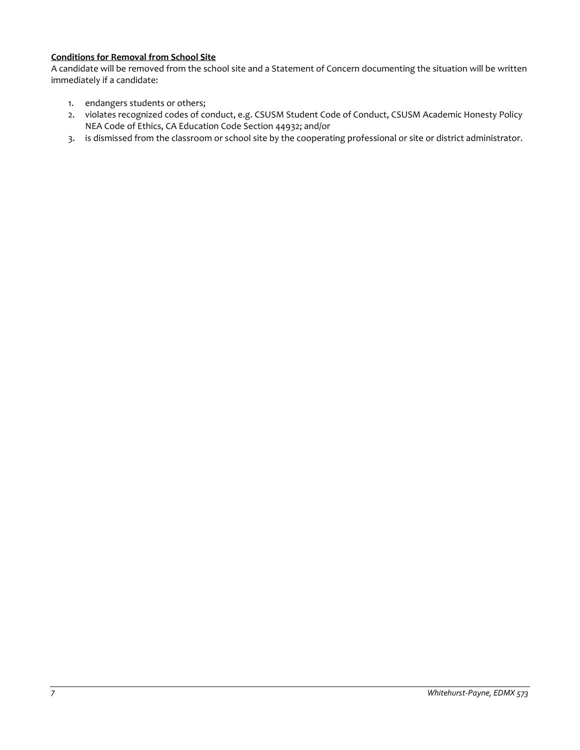## **Conditions for Removal from School Site**

A candidate will be removed from the school site and a Statement of Concern documenting the situation will be written immediately if a candidate:

- 1. endangers students or others;
- 2. violates recognized codes of conduct, e.g. CSUSM Student Code of Conduct, CSUSM Academic Honesty Policy NEA Code of Ethics, CA Education Code Section 44932; and/or
- 3. is dismissed from the classroom or school site by the cooperating professional or site or district administrator.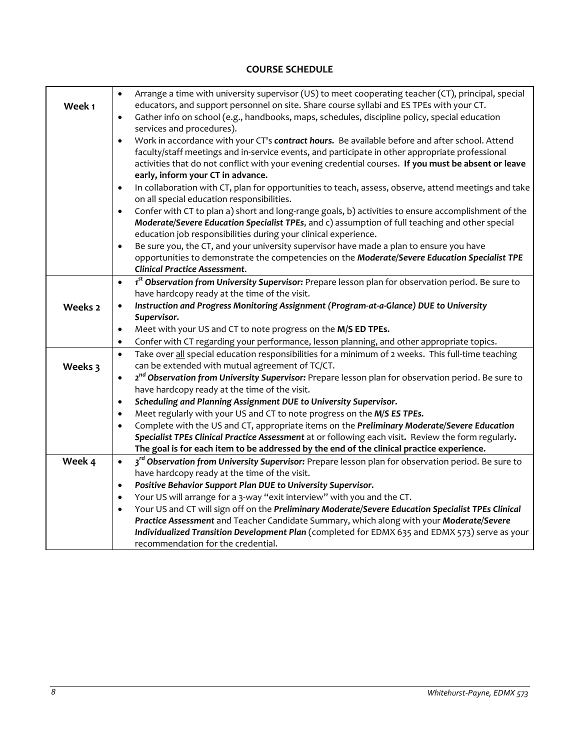#### **Week 1** • Arrange a time with university supervisor (US) to meet cooperating teacher (CT), principal, special educators, and support personnel on site. Share course syllabi and ES TPEs with your CT. • Gather info on school (e.g., handbooks, maps, schedules, discipline policy, special education services and procedures). • Work in accordance with your CT's *contract hours.* Be available before and after school. Attend faculty/staff meetings and in-service events, and participate in other appropriate professional activities that do not conflict with your evening credential courses. **If you must be absent or leave early, inform your CT in advance.** • In collaboration with CT, plan for opportunities to teach, assess, observe, attend meetings and take on all special education responsibilities. • Confer with CT to plan a) short and long-range goals, b) activities to ensure accomplishment of the *Moderate/Severe Education Specialist TPEs*, and c) assumption of full teaching and other special education job responsibilities during your clinical experience. • Be sure you, the CT, and your university supervisor have made a plan to ensure you have opportunities to demonstrate the competencies on the *Moderate/Severe Education Specialist TPE Clinical Practice Assessment*. **Weeks 2**  • *1 st Observation from University Supervisor:* Prepare lesson plan for observation period. Be sure to have hardcopy ready at the time of the visit. • *Instruction and Progress Monitoring Assignment (Program-at-a-Glance) DUE to University Supervisor.*  • Meet with your US and CT to note progress on the **M/S ED TPEs.** • Confer with CT regarding your performance, lesson planning, and other appropriate topics. **Weeks 3** • Take over all special education responsibilities for a minimum of 2 weeks. This full-time teaching can be extended with mutual agreement of TC/CT. • *2 nd Observation from University Supervisor:* Prepare lesson plan for observation period. Be sure to have hardcopy ready at the time of the visit. • *Scheduling and Planning Assignment DUE to University Supervisor.* • Meet regularly with your US and CT to note progress on the *M/S ES TPEs.* • Complete with the US and CT, appropriate items on the *Preliminary Moderate/Severe Education Specialist TPEs Clinical Practice Assessment* at or following each visit**.** Review the form regularly**. The goal is for each item to be addressed by the end of the clinical practice experience. Week 4** • *3rd Observation from University Supervisor:* Prepare lesson plan for observation period. Be sure to have hardcopy ready at the time of the visit. • *Positive Behavior Support Plan DUE to University Supervisor.*

# **COURSE SCHEDULE**

• Your US will arrange for a 3-way "exit interview" with you and the CT. • Your US and CT will sign off on the *Preliminary Moderate/Severe Education Specialist TPEs Clinical Practice Assessment* and Teacher Candidate Summary, which along with your *Moderate/Severe Individualized Transition Development Plan* (completed for EDMX 635 and EDMX 573) serve as your recommendation for the credential.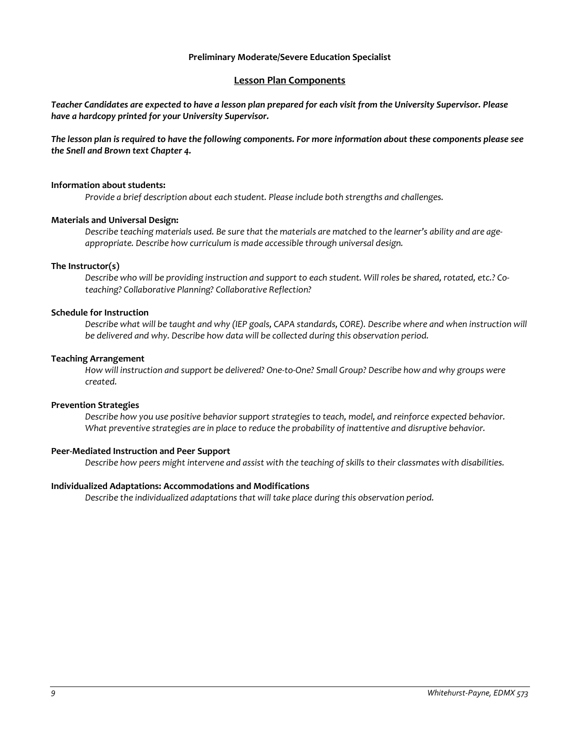#### **Preliminary Moderate/Severe Education Specialist**

## **Lesson Plan Components**

*Teacher Candidates are expected to have a lesson plan prepared for each visit from the University Supervisor. Please have a hardcopy printed for your University Supervisor.* 

*The lesson plan is required to have the following components. For more information about these components please see the Snell and Brown text Chapter 4.*

#### **Information about students:**

*Provide a brief description about each student. Please include both strengths and challenges.* 

#### **Materials and Universal Design:**

*Describe teaching materials used. Be sure that the materials are matched to the learner's ability and are ageappropriate. Describe how curriculum is made accessible through universal design.* 

#### **The Instructor(s)**

*Describe who will be providing instruction and support to each student. Will roles be shared, rotated, etc.? Coteaching? Collaborative Planning? Collaborative Reflection?* 

#### **Schedule for Instruction**

*Describe what will be taught and why (IEP goals, CAPA standards, CORE). Describe where and when instruction will be delivered and why. Describe how data will be collected during this observation period.* 

#### **Teaching Arrangement**

*How will instruction and support be delivered? One-to-One? Small Group? Describe how and why groups were created.*

#### **Prevention Strategies**

*Describe how you use positive behavior support strategies to teach, model, and reinforce expected behavior.*  What preventive strategies are in place to reduce the probability of inattentive and disruptive behavior.

#### **Peer-Mediated Instruction and Peer Support**

*Describe how peers might intervene and assist with the teaching of skills to their classmates with disabilities.* 

#### **Individualized Adaptations: Accommodations and Modifications**

*Describe the individualized adaptations that will take place during this observation period.*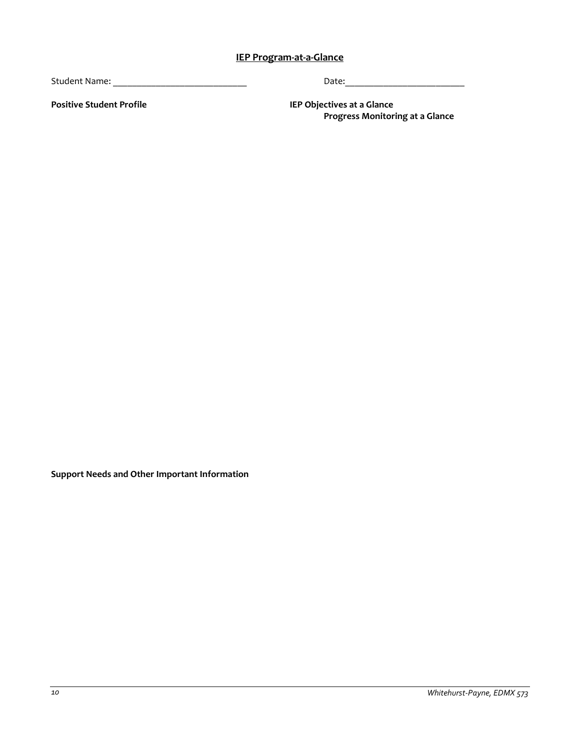# **IEP Program-at-a-Glance**

Student Name: \_\_\_\_\_\_\_\_\_\_\_\_\_\_\_\_\_\_\_\_\_\_\_\_\_\_\_\_ Date:\_\_\_\_\_\_\_\_\_\_\_\_\_\_\_\_\_\_\_\_\_\_\_\_\_

**Positive Student Profile IEP Objectives at a Glance Progress Monitoring at a Glance**

**Support Needs and Other Important Information**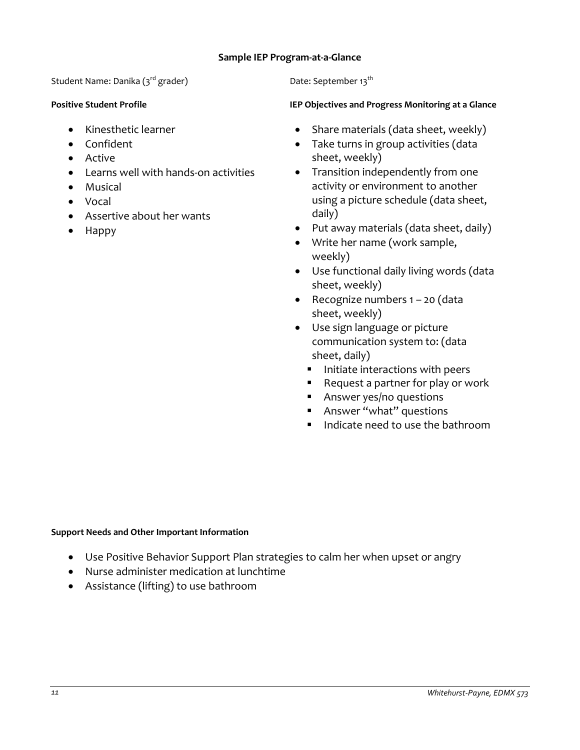# **Sample IEP Program-at-a-Glance**

Student Name: Danika  $(s^{rd}$  grader) Date: September 13<sup>th</sup>

- Kinesthetic learner
- Confident
- Active
- Learns well with hands-on activities
- Musical
- Vocal
- Assertive about her wants
- Happy

# **Positive Student Profile IEP Objectives and Progress Monitoring at a Glance**

- Share materials (data sheet, weekly)
- Take turns in group activities (data sheet, weekly)
- Transition independently from one activity or environment to another using a picture schedule (data sheet, daily)
- Put away materials (data sheet, daily)
- Write her name (work sample, weekly)
- Use functional daily living words (data sheet, weekly)
- Recognize numbers 1 20 (data sheet, weekly)
- Use sign language or picture communication system to: (data sheet, daily)
	- **Initiate interactions with peers**
	- Request a partner for play or work
	- **Answer yes/no questions**
	- **Answer "what" questions**
	- $\blacksquare$  Indicate need to use the bathroom

## **Support Needs and Other Important Information**

- Use Positive Behavior Support Plan strategies to calm her when upset or angry
- Nurse administer medication at lunchtime
- Assistance (lifting) to use bathroom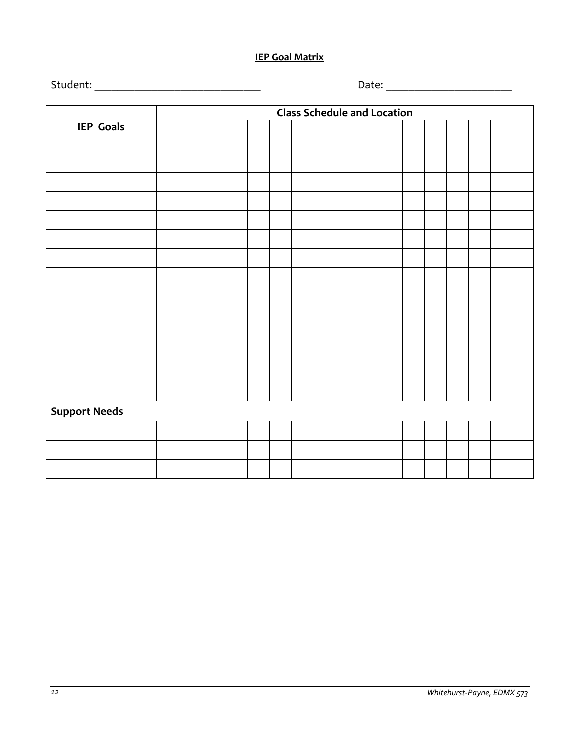# **IEP Goal Matrix**

|                      |  | <b>Class Schedule and Location</b> |  |  |  |  |  |  |  |  |  |  |  |  |  |  |  |
|----------------------|--|------------------------------------|--|--|--|--|--|--|--|--|--|--|--|--|--|--|--|
| <b>IEP Goals</b>     |  |                                    |  |  |  |  |  |  |  |  |  |  |  |  |  |  |  |
|                      |  |                                    |  |  |  |  |  |  |  |  |  |  |  |  |  |  |  |
|                      |  |                                    |  |  |  |  |  |  |  |  |  |  |  |  |  |  |  |
|                      |  |                                    |  |  |  |  |  |  |  |  |  |  |  |  |  |  |  |
|                      |  |                                    |  |  |  |  |  |  |  |  |  |  |  |  |  |  |  |
|                      |  |                                    |  |  |  |  |  |  |  |  |  |  |  |  |  |  |  |
|                      |  |                                    |  |  |  |  |  |  |  |  |  |  |  |  |  |  |  |
|                      |  |                                    |  |  |  |  |  |  |  |  |  |  |  |  |  |  |  |
|                      |  |                                    |  |  |  |  |  |  |  |  |  |  |  |  |  |  |  |
|                      |  |                                    |  |  |  |  |  |  |  |  |  |  |  |  |  |  |  |
|                      |  |                                    |  |  |  |  |  |  |  |  |  |  |  |  |  |  |  |
|                      |  |                                    |  |  |  |  |  |  |  |  |  |  |  |  |  |  |  |
|                      |  |                                    |  |  |  |  |  |  |  |  |  |  |  |  |  |  |  |
|                      |  |                                    |  |  |  |  |  |  |  |  |  |  |  |  |  |  |  |
|                      |  |                                    |  |  |  |  |  |  |  |  |  |  |  |  |  |  |  |
|                      |  |                                    |  |  |  |  |  |  |  |  |  |  |  |  |  |  |  |
|                      |  |                                    |  |  |  |  |  |  |  |  |  |  |  |  |  |  |  |
| <b>Support Needs</b> |  |                                    |  |  |  |  |  |  |  |  |  |  |  |  |  |  |  |
|                      |  |                                    |  |  |  |  |  |  |  |  |  |  |  |  |  |  |  |
|                      |  |                                    |  |  |  |  |  |  |  |  |  |  |  |  |  |  |  |
|                      |  |                                    |  |  |  |  |  |  |  |  |  |  |  |  |  |  |  |

Student: \_\_\_\_\_\_\_\_\_\_\_\_\_\_\_\_\_\_\_\_\_\_\_\_\_\_\_\_\_ Date: \_\_\_\_\_\_\_\_\_\_\_\_\_\_\_\_\_\_\_\_\_\_